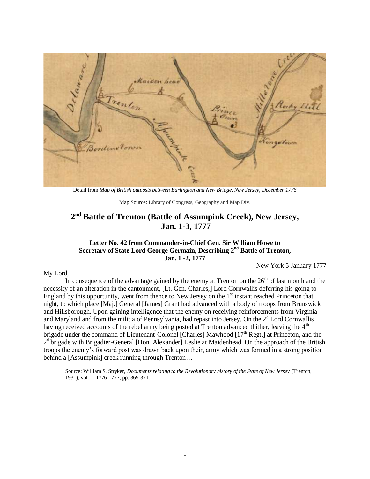

Detail from *Map of British outposts between Burlington and New Bridge, New Jersey, December 1776*

Map Source: Library of Congress, Geography and Map Div.

# **2 nd Battle of Trenton (Battle of Assumpink Creek), New Jersey, Jan. 1-3, 1777**

#### **Letter No. 42 from Commander-in-Chief Gen. Sir William Howe to Secretary of State Lord George Germain, Describing 2nd Battle of Trenton, Jan. 1 -2, 1777**

New York 5 January 1777

#### My Lord,

In consequence of the advantage gained by the enemy at Trenton on the  $26<sup>th</sup>$  of last month and the necessity of an alteration in the cantonment, [Lt. Gen. Charles,] Lord Cornwallis deferring his going to England by this opportunity, went from thence to New Jersey on the  $1<sup>st</sup>$  instant reached Princeton that night, to which place [Maj.] General [James] Grant had advanced with a body of troops from Brunswick and Hillsborough. Upon gaining intelligence that the enemy on receiving reinforcements from Virginia and Maryland and from the militia of Pennsylvania, had repast into Jersey. On the  $2<sup>d</sup>$  Lord Cornwallis having received accounts of the rebel army being posted at Trenton advanced thither, leaving the 4<sup>th</sup> brigade under the command of Lieutenant-Colonel [Charles] Mawhood [17<sup>th</sup> Regt.] at Princeton, and the 2<sup>d</sup> brigade with Brigadier-General [Hon. Alexander] Leslie at Maidenhead. On the approach of the British troops the enemy's forward post was drawn back upon their, army which was formed in a strong position behind a [Assumpink] creek running through Trenton...

Source: William S. Stryker, *Documents relating to the Revolutionary history of the State of New Jersey* (Trenton, 1931), vol. 1: 1776-1777, pp. 369-371.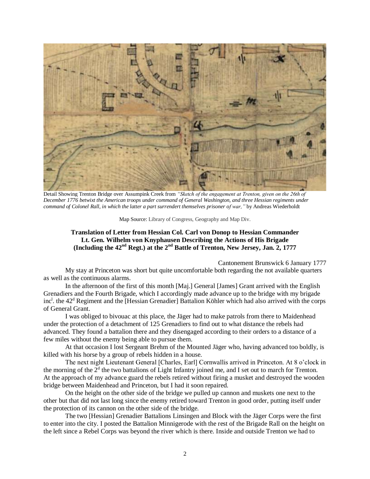

Detail Showing Trenton Bridge over Assumpink Creek from *"Sketch of the engagement at Trenton, given on the 26th of December 1776 betwixt the American troops under command of General Washington, and three Hessian regiments under command of Colonel Rall, in which the latter a part surrendert themselves prisoner of war,"* by Andreas Wiederholdt

Map Source: Library of Congress, Geography and Map Div.

#### **Translation of Letter from Hessian Col. Carl von Donop to Hessian Commander Lt. Gen. Wilhelm von Knyphausen Describing the Actions of His Brigade (Including the 42nd Regt.) at the 2nd Battle of Trenton, New Jersey, Jan. 2, 1777**

Cantonement Brunswick 6 January 1777

My stay at Princeton was short but quite uncomfortable both regarding the not available quarters as well as the continuous alarms.

In the afternoon of the first of this month [Maj.] General [James] Grant arrived with the English Grenadiers and the Fourth Brigade, which I accordingly made advance up to the bridge with my brigade inc<sup>1</sup>. the 42<sup>d</sup> Regiment and the [Hessian Grenadier] Battalion Köhler which had also arrived with the corps of General Grant.

I was obliged to bivouac at this place, the Jäger had to make patrols from there to Maidenhead under the protection of a detachment of 125 Grenadiers to find out to what distance the rebels had advanced. They found a battalion there and they disengaged according to their orders to a distance of a few miles without the enemy being able to pursue them.

At that occasion I lost Sergeant Brehm of the Mounted Jäger who, having advanced too boldly, is killed with his horse by a group of rebels hidden in a house.

The next night Lieutenant General [Charles, Earl] Cornwallis arrived in Princeton. At 8 o'clock in the morning of the  $2<sup>d</sup>$  the two battalions of Light Infantry joined me, and I set out to march for Trenton. At the approach of my advance guard the rebels retired without firing a musket and destroyed the wooden bridge between Maidenhead and Princeton, but I had it soon repaired.

On the height on the other side of the bridge we pulled up cannon and muskets one next to the other but that did not last long since the enemy retired toward Trenton in good order, putting itself under the protection of its cannon on the other side of the bridge.

The two [Hessian] Grenadier Battalions Linsingen and Block with the Jäger Corps were the first to enter into the city. I posted the Battalion Minnigerode with the rest of the Brigade Rall on the height on the left since a Rebel Corps was beyond the river which is there. Inside and outside Trenton we had to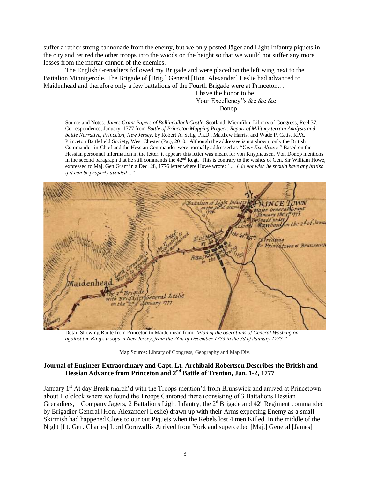suffer a rather strong cannonade from the enemy, but we only posted Jäger and Light Infantry piquets in the city and retired the other troops into the woods on the height so that we would not suffer any more losses from the mortar cannon of the enemies.

The English Grenadiers followed my Brigade and were placed on the left wing next to the Battalion Minnigerode. The Brigade of [Brig.] General [Hon. Alexander] Leslie had advanced to Maidenhead and therefore only a few battalions of the Fourth Brigade were at Princeton…

> I have the honor to be Your Excellency's &c &c &c Donop

Source and Notes*: James Grant Papers of Ballindalloch Castle*, Scotland; Microfilm, Library of Congress, Reel 37, Correspondence, January, 1777 from *Battle of Princeton Mapping Project: Report of Military terrain Analysis and battle Narrative, Princeton, New Jersey,* by Robert A. Selig, Ph.D., Matthew Harris, and Wade P. Catts, RPA, Princeton Battlefield Society, West Chester (Pa.), 2010. Although the addressee is not shown, only the British Commander-in-Chief and the Hessian Commander were normally addressed as *"Your Excellency."* Based on the Hessian personnel information in the letter, it appears this letter was meant for von Knyphausen. Von Donop mentions in the second paragraph that he still commands the  $42<sup>nd</sup>$  Regt. This is contrary to the wishes of Gen. Sir William Howe, expressed to Maj. Gen Grant in a Dec. 28, 1776 letter where Howe wrote: *"… I do not wish he should have any british if it can be properly avoided…"*



Detail Showing Route from Princeton to Maidenhead from *"Plan of the operations of General Washington against the King's troops in New Jersey, from the 26th of December 1776 to the 3d of January 1777."*

Map Source: Library of Congress, Geography and Map Div.

#### **Journal of Engineer Extraordinary and Capt. Lt. Archibald Robertson Describes the British and Hessian Advance from Princeton and 2nd Battle of Trenton, Jan. 1-2, 1777**

January 1<sup>st</sup> At day Break rnarch'd with the Troops mention'd from Brunswick and arrived at Princetown about 1 o'clock where we found the Troops Cantoned there (consisting of 3 Battalions Hessian Grenadiers, 1 Company Jagers, 2 Battalions Light Infantry, the  $2<sup>d</sup>$  Brigade and  $42<sup>d</sup>$  Regiment commanded by Brigadier General [Hon. Alexander] Leslie) drawn up with their Arms expecting Enemy as a small Skirmish had happened Close to our out Piquets when the Rebels lost 4 men Killed. In the middle of the Night [Lt. Gen. Charles] Lord Cornwallis Arrived from York and superceded [Maj.] General [James]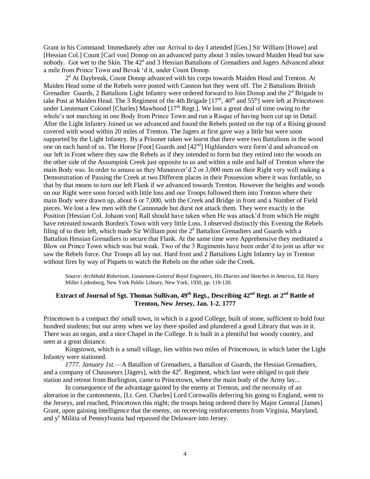Grant in his Command: Immediately after our Arrival to day I attended [Gen.] Sir William [Howe] and [Hessian Col.] Count [Carl von] Donop on an advanced party about 3 miles toward Maiden Head but saw nobody. Got wet to the Skin. The  $42<sup>d</sup>$  and 3 Hessian Battalions of Grenadiers and Jagers Advanced about a mile from Prince Town and Bevak 'd it, under Count Donop.

2<sup>d</sup> At Daybreak, Count Donop advanced with his corps towards Maiden Head and Trenton. At Maiden Head some of the Rebels were posted with Cannon but they went off. The 2 Battalions British Grenadier Guards, 2 Battalions Light Infantry were ordered forward to Join Donop and the  $2<sup>d</sup>$  Brigade to take Post at Maiden Head. The 3 Regiment of the 4th Brigade  $[17<sup>th</sup>, 40<sup>th</sup>$  and  $55<sup>th</sup>$ ] were left at Princetown under Lieutenant Colonel [Charles] Mawhood [17<sup>th</sup> Regt.]. We lost a great deal of time owing to the whole's not marching in one Body from Prince Town and run a Risque of having been cut up in Detail. After the Light Infantry Joined us we advanced and found the Rebels posted on the top of a Rising ground covered with wood within 20 miles of Trenton. The Jagers at first gave way a little but were soon supported by the Light Infantry. By a Prisoner taken we learnt that there were two Battalions in the wood one on each hand of us. The Horse [Foot] Guards and [42nd] Highlanders were form'd and advanced on our left in Front where they saw the Rebels as if they intended to form but they retired into the woods on the other side of the Assumpink Creek just opposite to us and within a mile and half of Trenton where the main Body was. In order to amuse us they Manœuver'd 2 or 3,000 men on their Right very well making a Demonstration of Passing the Creek at two Different places in their Possession where it was fordable, so that by that means to turn our left Flank if we advanced towards Trenton. However the heights and woods on our Right were soon forced with little loss and our Troops followed them into Trenton where their main Body were drawn up, about 6 or 7,000, with the Creek and Bridge in front and a Number of Field pieces. We lost a few men with the Cannonade but durst not attack them. They were exactly in the Position [Hessian Col. Johann von] Rall should have taken when He was attack'd from which He might have retreated towards Borden's Town with very little Loss. I observed distinctly this Evening the Rebels filing of to their left, which made Sir William post the  $2<sup>d</sup>$  Battalion Grenadiers and Guards with a Battalion Hessian Grenadiers to secure that Flank. At the same time were Apprehensive they meditated a Blow on Prince Town which was but weak. Two of the 3 Regiments have been order'd to join us after we saw the Rebels force. Our Troops all lay out. Hard frost and 2 Battalions Light Infantry lay in Trenton without fires by way of Piquets to watch the Rebels on the other side the Creek.

Source: *Archibald Robertson, Lieutenant-General Royal Engineers, His Diaries and Sketches in America,* Ed. Harry Miller Lydenberg, New York Public Library, New York, 1930, pp. 118-120.

# **Extract of Journal of Sgt. Thomas Sullivan, 49th Regt., Describing 42nd Regt. at 2nd Battle of Trenton, New Jersey, Jan. 1-2. 1777**

Princetown is a compact tho' small town, in which is a good College, built of stone, sufficient to hold four hundred students; but our army when we lay there spoiled and plundered a good Library that was in it. There was an organ, and a nice Chapel in the College. It is built in a plentiful but woody country, and seen at a great distance.

Kingstown, which is a small village, lies within two miles of Princetown, in which latter the Light Infantry were stationed.

*1777. January 1st.*—A Batallion of Grenadiers, a Battalion of Guards, the Hessian Grenadiers, and a company of Chausseurs [Jägers], with the  $42<sup>d</sup>$ . Regiment, which last were obliged to quit their station and retreat from Burlington, came to Princetown, where the main body of the Army lay...

In consequence of the advantage gained by the enemy at Trenton, and the necessity of an alteration in the cantonments, [Lt. Gen. Charles] Lord Cornwallis deferring his going to England, went to the Jerseys, and reached, Princetown this night; the troops being ordered there by Major General [James] Grant, upon gaining intelligence that the enemy, on receeving reinforcements from Virginia, Maryland, and y<sup>e</sup> Militia of Pennsylvania had repassed the Delaware into Jersey.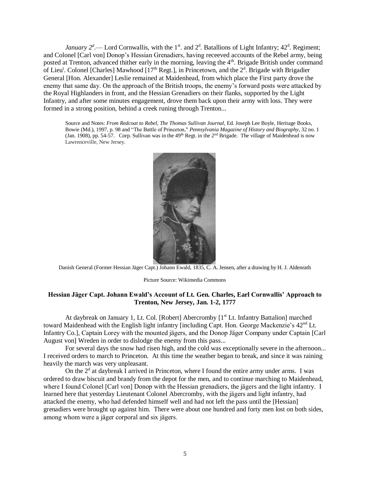*January*  $2^d$ . Lord Cornwallis, with the 1<sup>st</sup>. and  $2^d$ . Batallions of Light Infantry; 42<sup>d</sup>. Regiment; and Colonel [Carl von] Donop's Hessian Grenadiers, having receeved accounts of the Rebel army, being posted at Trenton, advanced thither early in the morning, leaving the 4<sup>th</sup>. Brigade British under command of Lieu<sup>t</sup>. Colonel [Charles] Mawhood [17<sup>th</sup> Regt.], in Princetown, and the 2<sup>d</sup>. Brigade with Brigadier General [Hon. Alexander] Leslie remained at Maidenhead, from which place the First party drove the enemy that same day. On the approach of the British troops, the enemy's forward posts were attacked by the Royal Highlanders in front, and the Hessian Grenadiers on their flanks, supported by the Light Infantry, and after some minutes engagement, drove them back upon their army with loss. They were formed in a strong position, behind a creek runing through Trenton...

Source and Notes: *From Redcoat to Rebel, The Thomas Sullivan Journal,* Ed. Joseph Lee Boyle, Heritage Books, Bowie (Md.), 1997, p. 98 and "The Battle of Princeton," *Pennsylvania Magazine of History and Biography*, 32 no. 1 (Jan. 1908), pp. 54-57. Corp. Sullivan was in the  $49<sup>th</sup>$  Regt. in the  $2<sup>nd</sup>$  Brigade. The village of Maidenhead is now Lawrenceville, New Jersey.



Danish General (Former Hessian Jäger Capt.) Johann Ewald, 1835, C. A. Jensen, after a drawing by H. J. Aldenrath

Picture Source: Wikimedia Commons

#### **Hessian Jӓger Capt. Johann Ewald's Account of Lt. Gen. Charles, Earl Cornwallis' Approach to Trenton, New Jersey, Jan. 1-2, 1777**

At daybreak on January 1, Lt. Col. [Robert] Abercromby [1<sup>st</sup> Lt. Infantry Battalion] marched toward Maidenhead with the English light infantry [including Capt. Hon. George Mackenzie's  $42<sup>nd</sup>$  Lt. Infantry Co.], Captain Lorey with the mounted jӓgers, and the Donop Jӓger Company under Captain [Carl August von] Wreden in order to dislodge the enemy from this pass...

For several days the snow had risen high, and the cold was exceptionally severe in the afternoon... I received orders to march to Princeton. At this time the weather began to break, and since it was raining heavily the march was very unpleasant.

On the  $2<sup>d</sup>$  at daybreak I arrived in Princeton, where I found the entire army under arms. I was ordered to draw biscuit and brandy from the depot for the men, and to continue marching to Maidenhead, where I found Colonel [Carl von] Donop with the Hessian grenadiers, the jägers and the light infantry. I learned here that yesterday Lieutenant Colonel Abercromby, with the jӓgers and light infantry, had attacked the enemy, who had defended himself well and had not left the pass until the [Hessian] grenadiers were brought up against him. There were about one hundred and forty men lost on both sides, among whom were a jӓger corporal and six jӓgers.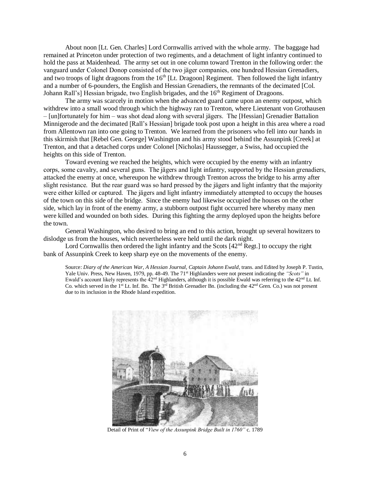About noon [Lt. Gen. Charles] Lord Cornwallis arrived with the whole army. The baggage had remained at Princeton under protection of two regiments, and a detachment of light infantry continued to hold the pass at Maidenhead. The army set out in one column toward Trenton in the following order: the vanguard under Colonel Donop consisted of the two jӓger companies, one hundred Hessian Grenadiers, and two troops of light dragoons from the  $16<sup>th</sup>$  [Lt. Dragoon] Regiment. Then followed the light infantry and a number of 6-pounders, the English and Hessian Grenadiers, the remnants of the decimated [Col. Johann Rall's] Hessian brigade, two English brigades, and the 16<sup>th</sup> Regiment of Dragoons.

The army was scarcely in motion when the advanced guard came upon an enemy outpost, which withdrew into a small wood through which the highway ran to Trenton, where Lieutenant von Grothausen – [un]fortunately for him – was shot dead along with several jӓgers. The [Hessian] Grenadier Battalion Minnigerode and the decimated [Rall's Hessian] brigade took post upon a height in this area where a road from Allentown ran into one going to Trenton. We learned from the prisoners who fell into our hands in this skirmish that [Rebel Gen. George] Washington and his army stood behind the Assunpink [Creek] at Trenton, and that a detached corps under Colonel [Nicholas] Haussegger, a Swiss, had occupied the heights on this side of Trenton.

Toward evening we reached the heights, which were occupied by the enemy with an infantry corps, some cavalry, and several guns. The jӓgers and light infantry, supported by the Hessian grenadiers, attacked the enemy at once, whereupon he withdrew through Trenton across the bridge to his army after slight resistance. But the rear guard was so hard pressed by the jӓgers and light infantry that the majority were either killed or captured. The jӓgers and light infantry immediately attempted to occupy the houses of the town on this side of the bridge. Since the enemy had likewise occupied the houses on the other side, which lay in front of the enemy army, a stubborn outpost fight occurred here whereby many men were killed and wounded on both sides. During this fighting the army deployed upon the heights before the town.

General Washington, who desired to bring an end to this action, brought up several howitzers to dislodge us from the houses, which nevertheless were held until the dark night.

Lord Cornwallis then ordered the light infantry and the Scots  $[42<sup>nd</sup>$  Regt.] to occupy the right bank of Assunpink Creek to keep sharp eye on the movements of the enemy.

Source: *Diary of the American War, A Hessian Journal, Captain Johann Ewald*, trans. and Edited by Joseph P. Tustin, Yale Univ. Press, New Haven, 1979, pp. 48-49. The 71<sup>st</sup> Highlanders were not present indicating the *"Scots"* in Ewald's account likely represents the  $42<sup>nd</sup>$  Highlanders, although it is possible Ewald was referring to the  $42<sup>nd</sup>$  Lt. Inf. Co. which served in the 1<sup>st</sup> Lt. Inf. Bn. The 3<sup>rd</sup> British Grenadier Bn. (including the 42<sup>nd</sup> Gren. Co.) was not present due to its inclusion in the Rhode Island expedition.



Detail of Print of "*View of the Assunpink Bridge Built in 1760"* c. 1789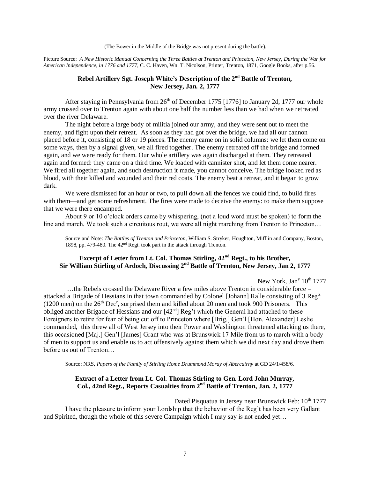(The Bower in the Middle of the Bridge was not present during the battle).

Picture Source: *A New Historic Manual Concerning the Three Battles at Trenton and Princeton, New Jersey, During the War for American Independence, in 1776 and 1777*, C. C. Haven, Wn. T. Nicolson, Printer, Trenton, 1871, Google Books, after p.56.

#### **Rebel Artillery Sgt. Joseph White's Description of the 2nd Battle of Trenton, New Jersey, Jan. 2, 1777**

After staying in Pennsylvania from  $26<sup>th</sup>$  of December 1775 [1776] to January 2d, 1777 our whole army crossed over to Trenton again with about one half the number less than we had when we retreated over the river Delaware.

The night before a large body of militia joined our army, and they were sent out to meet the enemy, and fight upon their retreat. As soon as they had got over the bridge, we had all our cannon placed before it, consisting of 18 or 19 pieces. The enemy came on in solid columns: we let them come on some ways, then by a signal given, we all fired together. The enemy retreated off the bridge and formed again, and we were ready for them. Our whole artillery was again discharged at them. They retreated again and formed: they came on a third time. We loaded with cannister shot, and let them come nearer. We fired all together again, and such destruction it made, you cannot conceive. The bridge looked red as blood, with their killed and wounded and their red coats. The enemy beat a retreat, and it began to grow dark.

We were dismissed for an hour or two, to pull down all the fences we could find, to build fires with them—and get some refreshment. The fires were made to deceive the enemy: to make them suppose that we were there encamped.

About 9 or 10 o'clock orders came by whispering, (not a loud word must be spoken) to form the line and march. We took such a circuitous rout, we were all night marching from Trenton to Princeton…

Source and Note: *The Battles of Trenton and Princeton*, William S. Stryker, Houghton, Mifflin and Company, Boston, 1898, pp. 479-480. The 42nd Regt. took part in the attack through Trenton.

#### **Excerpt of Letter from Lt. Col. Thomas Stirling, 42nd Regt., to his Brother, Sir William Stirling of Ardoch, Discussing 2nd Battle of Trenton, New Jersey, Jan 2, 1777**

New York, Jan<sup>y</sup> 10<sup>th</sup> 1777

…the Rebels crossed the Delaware River a few miles above Trenton in considerable force – attacked a Brigade of Hessians in that town commanded by Colonel [Johann] Ralle consisting of 3 Reg<sup>ts</sup>  $(1200 \text{ men})$  on the  $26^{\text{th}}$  Dec<sup>r</sup>, surprised them and killed about 20 men and took 900 Prisoners. This obliged another Brigade of Hessians and our  $[42^{nd}]$  Reg't which the General had attached to these Foreigners to retire for fear of being cut off to Princeton where [Brig.] Gen'l [Hon. Alexander] Leslie commanded, this threw all of West Jersey into their Power and Washington threatened attacking us there, this occasioned [Maj.] Gen'l [James] Grant who was at Brunswick 17 Mile from us to march with a body of men to support us and enable us to act offensively against them which we did next day and drove them before us out of Trenton…

Source: NRS, *Papers of the Family of Stirling Home Drummond Moray of Abercairny* at GD 24/1/458/6.

#### **Extract of a Letter from Lt. Col. Thomas Stirling to Gen. Lord John Murray, Col., 42nd Regt., Reports Casualties from 2nd Battle of Trenton, Jan. 2, 1777**

Dated Pisquatua in Jersey near Brunswick Feb:  $10^{th}$  1777 I have the pleasure to inform your Lordship that the behavior of the Reg't has been very Gallant and Spirited, though the whole of this severe Campaign which I may say is not ended yet…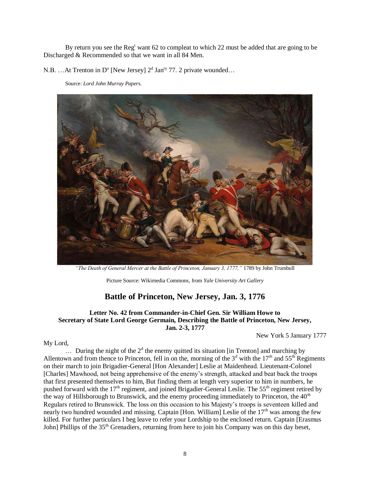By return you see the Reg<sup>t</sup> want 62 to compleat to which 22 must be added that are going to be Discharged & Recommended so that we want in all 84 Men.

N.B. ...At Trenton in D<sup>o</sup> [New Jersey]  $2<sup>d</sup>$  Jan<sup>ry</sup> 77. 2 private wounded...

Source: *Lord John Murray Papers.*



*"The Death of General Mercer at the Battle of Princeton, January 3, 1777,"* 1789 by John Trumbull

Picture Source: Wikimedia Commons, from *Yale University Art Gallery*

## **Battle of Princeton, New Jersey, Jan. 3, 1776**

#### **Letter No. 42 from Commander-in-Chief Gen. Sir William Howe to Secretary of State Lord George Germain, Describing the Battle of Princeton, New Jersey, Jan. 2-3, 1777**

New York 5 January 1777

#### My Lord,

 $\ldots$  During the night of the  $2<sup>d</sup>$  the enemy quitted its situation [in Trenton] and marching by Allentown and from thence to Princeton, fell in on the, morning of the  $3<sup>d</sup>$  with the  $17<sup>th</sup>$  and  $55<sup>th</sup>$  Regiments on their march to join Brigadier-General [Hon Alexander] Leslie at Maidenhead. Lieutenant-Colonel [Charles] Mawhood, not being apprehensive of the enemy's strength, attacked and beat back the troops that first presented themselves to him, But finding them at length very superior to him in numbers, he pushed forward with the  $17<sup>th</sup>$  regiment, and joined Brigadier-General Leslie. The  $55<sup>th</sup>$  regiment retired by the way of Hillsborough to Brunswick, and the enemy proceeding immediately to Princeton, the  $40<sup>th</sup>$ Regulars retired to Brunswick. The loss on this occasion to his Majesty's troops is seventeen killed and nearly two hundred wounded and missing. Captain [Hon. William] Leslie of the 17<sup>th</sup> was among the few killed. For further particulars I beg leave to refer your Lordship to the enclosed return. Captain [Erasmus John] Phillips of the 35<sup>th</sup> Grenadiers, returning from here to join his Company was on this day beset,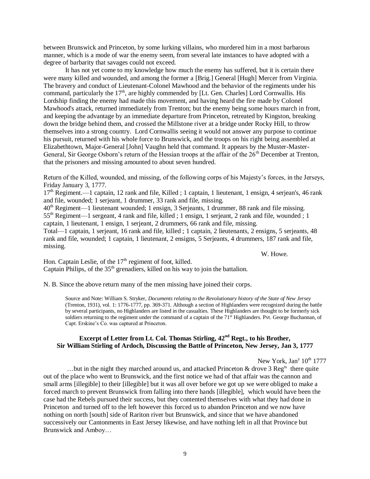between Brunswick and Princeton, by some lurking villains, who murdered him in a most barbarous manner, which is a mode of war the enemy seem, from several late instances to have adopted with a degree of barbarity that savages could not exceed.

It has not yet come to my knowledge how much the enemy has suffered, but it is certain there were many killed and wounded, and among the former a [Brig.] General [Hugh] Mercer from Virginia. The bravery and conduct of Lieutenant-Colonel Mawhood and the behavior of the regiments under his command, particularly the 17<sup>th</sup>, are highly commended by [Lt. Gen. Charles] Lord Cornwallis. His Lordship finding the enemy had made this movement, and having heard the fire made by Colonel Mawhood's attack, returned immediately from Trenton; but the enemy being some hours march in front, and keeping the advantage by an immediate departure from Princeton, retreated by Kingston, breaking down the bridge behind them, and crossed the Millstone river at a bridge under Rocky Hill, to throw themselves into a strong country. Lord Cornwallis seeing it would not answer any purpose to continue his pursuit, returned with his whole force to Brunswick, and the troops on his right being assembled at Elizabethtown, Major-General [John] Vaughn held that command. It appears by the Muster-Master-General, Sir George Osborn's return of the Hessian troops at the affair of the 26<sup>th</sup> December at Trenton, that the prisoners and missing amounted to about seven hundred.

Return of the Killed, wounded, and missing, of the following corps of his Majesty's forces, in the Jerseys, Friday January 3, 1777.

17th Regiment.—1 captain, 12 rank and file, Killed ; 1 captain, 1 lieutenant, 1 ensign, 4 serjean's, 46 rank and file, wounded; 1 serjeant, 1 drummer, 33 rank and file, missing.

40th Regiment—1 lieutenant wounded; 1 ensign, 3 Serjeants, 1 drummer, 88 rank and file missing.

55th Regiment—1 sergeant, 4 rank and file, killed ; 1 ensign, 1 serjeant, 2 rank and file, wounded ; 1 captain, 1 lieutenant, 1 ensign, 1 serjeant, 2 drummers, 66 rank and file, missing.

Total—1 captain, 1 serjeant, 16 rank and file, killed ; 1 captain, 2 lieutenants, 2 ensigns, 5 serjeants, 48 rank and file, wounded; 1 captain, 1 lieutenant, 2 ensigns, 5 Serjeants, 4 drummers, 187 rank and file, missing.

W. Howe.

Hon. Captain Leslie, of the 17<sup>th</sup> regiment of foot, killed. Captain Philips, of the  $35<sup>th</sup>$  grenadiers, killed on his way to join the battalion.

N. B. Since the above return many of the men missing have joined their corps.

Source and Note: William S. Stryker, *Documents relating to the Revolutionary history of the State of New Jersey*  (Trenton, 1931), vol. 1: 1776-1777, pp. 369-371. Although a section of Highlanders were recognized during the battle by several participants, no Highlanders are listed in the casualties. These Highlanders are thought to be formerly sick soldiers returning to the regiment under the command of a captain of the 71<sup>st</sup> Highlanders. Pvt. George Buchannan, of Capt. Erskine's Co. was captured at Princeton.

#### **Excerpt of Letter from Lt. Col. Thomas Stirling, 42nd Regt., to his Brother, Sir William Stirling of Ardoch, Discussing the Battle of Princeton, New Jersey, Jan 3, 1777**

New York, Jan<sup>y</sup> 10<sup>th</sup> 1777

...but in the night they marched around us, and attacked Princeton & drove  $3 \text{ Reg}^{ts}$  there quite out of the place who went to Brunswick, and the first notice we had of that affair was the cannon and small arms [illegible] to their [illegible] but it was all over before we got up we were obliged to make a forced march to prevent Brunswick from falling into there hands [illegible], which would have been the case had the Rebels pursued their success, but they contented themselves with what they had done in Princeton and turned off to the left however this forced us to abandon Princeton and we now have nothing on north [south] side of Rariton river but Brunswick, and since that we have abandoned successively our Cantonments in East Jersey likewise, and have nothing left in all that Province but Brunswick and Amboy…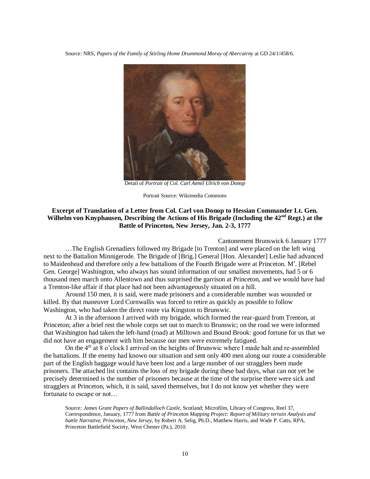Source: NRS, *Papers of the Family of Stirling Home Drummond Moray of Abercairny* at GD 24/1/458/6.



Detail of *Portrait of Col. Carl Aemil Ulrich von Donop*

Portrait Source: Wikimedia Commons

#### **Excerpt of Translation of a Letter from Col. Carl von Donop to Hessian Commander Lt. Gen. Wilhelm von Knyphausen, Describing the Actions of His Brigade (Including the 42nd Regt.) at the Battle of Princeton, New Jersey, Jan. 2-3, 1777**

Cantonement Brunswick 6 January 1777

…The English Grenadiers followed my Brigade [to Trenton] and were placed on the left wing next to the Battalion Minnigerode. The Brigade of [Brig.] General [Hon. Alexander] Leslie had advanced to Maidenhead and therefore only a few battalions of the Fourth Brigade were at Princeton. M<sup>r</sup>. [Rebel Gen. George] Washington, who always has sound information of our smallest movements, had 5 or 6 thousand men march onto Allentown and thus surprised the garrison at Princeton, and we would have had a Trenton-like affair if that place had not been advantageously situated on a hill.

Around 150 men, it is said, were made prisoners and a considerable number was wounded or killed. By that maneuver Lord Cornwallis was forced to retire as quickly as possible to follow Washington, who had taken the direct route via Kingston to Brunswic.

At 3 in the afternoon I arrived with my brigade, which formed the rear-guard from Trenton, at Princeton; after a brief rest the whole corps set out to march to Brunswic; on the road we were informed that Washington had taken the left-hand (road) at Milltown and Bound Brook: good fortune for us that we did not have an engagement with him because our men were extremely fatigued.

On the  $4<sup>th</sup>$  at 8 o'clock I arrived on the heights of Brunswic where I made halt and re-assembled the battalions. If the enemy had known our situation and sent only 400 men along our route a considerable part of the English baggage would have been lost and a large number of our stragglers been made prisoners. The attached list contains the loss of my brigade during these bad days, what can not yet be precisely determined is the number of prisoners because at the time of the surprise there were sick and stragglers at Princeton, which, it is said, saved themselves, but I do not know yet whether they were fortunate to escape or not…

Source*: James Grant Papers of Ballindalloch Castle*, Scotland; Microfilm, Library of Congress, Reel 37, Correspondence, January, 1777 from *Battle of Princeton Mapping Project: Report of Military terrain Analysis and battle Narrative, Princeton, New Jersey,* by Robert A. Selig, Ph.D., Matthew Harris, and Wade P. Catts, RPA, Princeton Battlefield Society, West Chester (Pa.), 2010.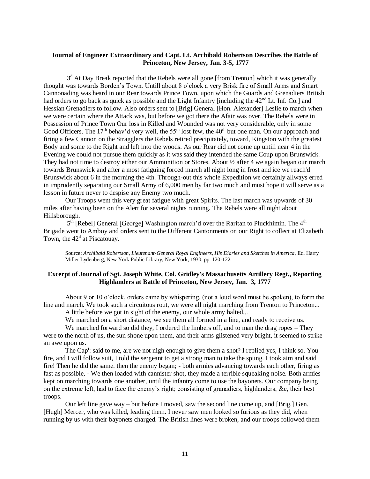#### **Journal of Engineer Extraordinary and Capt. Lt. Archibald Robertson Describes the Battle of Princeton, New Jersey, Jan. 3-5, 1777**

3<sup>d</sup> At Day Break reported that the Rebels were all gone [from Trenton] which it was generally thought was towards Borden's Town. Untill about 8 o'clock a very Brisk fire of Small Arms and Smart Cannonading was heard in our Rear towards Prince Town, upon which the Guards and Grenadiers British had orders to go back as quick as possible and the Light Infantry [including the  $42<sup>nd</sup>$  Lt. Inf. Co.] and Hessian Grenadiers to follow. Also orders sent to [Brig] General [Hon. Alexander] Leslie to march when we were certain where the Attack was, but before we got there the Afair was over. The Rebels were in Possession of Prince Town Our loss in Killed and Wounded was not very considerable, only in some Good Officers. The 17<sup>th</sup> behav'd very well, the 55<sup>th</sup> lost few, the 40<sup>th</sup> but one man. On our approach and firing a few Cannon on the Stragglers the Rebels retired precipitately, toward, Kingston with the greatest Body and some to the Right and left into the woods. As our Rear did not come up untill near 4 in the Evening we could not pursue them quickly as it was said they intended the same Coup upon Brunswick. They had not time to destroy either our Ammunition or Stores. About ½ after 4 we again began our march towards Brunswick and after a most fatiguing forced march all night long in frost and ice we reach'd Brunswick about 6 in the morning the 4th. Through-out this whole Expedition we certainly allways erred in imprudently separating our Small Army of 6,000 men by far two much and must hope it will serve as a lesson in future never to despise any Enemy two much.

Our Troops went this very great fatigue with great Spirits. The last march was upwards of 30 miles after having been on the Alert for several nights running. The Rebels were all night about Hillsborough.

5<sup>th</sup> [Rebel] General [George] Washington march'd over the Raritan to Pluckhimin. The 4<sup>th</sup> Brigade went to Amboy and orders sent to the Different Cantonments on our Right to collect at Elizabeth Town, the  $42<sup>d</sup>$  at Piscatouay.

Source: *Archibald Robertson, Lieutenant-General Royal Engineers, His Diaries and Sketches in America,* Ed. Harry Miller Lydenberg, New York Public Library, New York, 1930, pp. 120-122.

#### **Excerpt of Journal of Sgt. Joseph White, Col. Gridley's Massachusetts Artillery Regt., Reporting Highlanders at Battle of Princeton, New Jersey, Jan. 3, 1777**

About 9 or 10 o'clock, orders came by whispering, (not a loud word must be spoken), to form the line and march. We took such a circuitous rout, we were all night marching from Trenton to Princeton...

A little before we got in sight of the enemy, our whole army halted...

We marched on a short distance, we see them all formed in a line, and ready to receive us.

We marched forward so did they, I ordered the limbers off, and to man the drag ropes – They were to the north of us, the sun shone upon them, and their arms glistened very bright, it seemed to strike an awe upon us.

The Cap<sup>t</sup>: said to me, are we not nigh enough to give them a shot? I replied yes, I think so. You fire, and I will follow suit, I told the sergeant to get a strong man to take the spung. I took aim and said fire! Then he did the same. then the enemy began; - both armies advancing towards each other, firing as fast as possible, - We then loaded with cannister shot, they made a terrible squeaking noise. Both armies kept on marching towards one another, until the infantry come to use the bayonets. Our company being on the extreme left, had to face the enemy's right; consisting of granadiers, highlanders, &c, their best troops.

Our left line gave way – but before I moved, saw the second line come up, and [Brig.] Gen. [Hugh] Mercer, who was killed, leading them. I never saw men looked so furious as they did, when running by us with their bayonets charged. The British lines were broken, and our troops followed them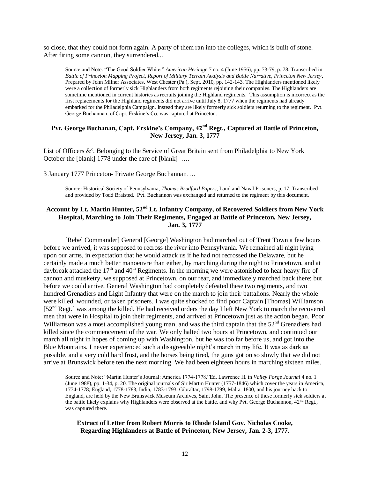so close, that they could not form again. A party of them ran into the colleges, which is built of stone. After firing some cannon, they surrendered...

Source and Note: "The Good Soldier White." *American Heritage* 7 no. 4 (June 1956), pp. 73-79, p. 78. Transcribed in *Battle of Princeton Mapping Project, Report of Military Terrain Analysis and Battle Narrative, Princeton New Jersey*, Prepared by John Milner Associates, West Chester (Pa.), Sept. 2010, pp. 142-143. The Highlanders mentioned likely were a collection of formerly sick Highlanders from both regiments rejoining their companies. The Highlanders are sometime mentioned in current histories as recruits joining the Highland regiments. This assumption is incorrect as the first replacements for the Highland regiments did not arrive until July 8, 1777 when the regiments had already embarked for the Philadelphia Campaign. Instead they are likely formerly sick soldiers returning to the regiment. Pvt. George Buchannan, of Capt. Erskine's Co. was captured at Princeton.

#### **Pvt. George Buchanan, Capt. Erskine's Company, 42nd Regt., Captured at Battle of Princeton, New Jersey, Jan. 3, 1777**

List of Officers  $\&^{\text{c}}$ . Belonging to the Service of Great Britain sent from Philadelphia to New York October the [blank] 1778 under the care of [blank] ….

3 January 1777 Princeton- Private George Buchannan….

Source: Historical Society of Pennsylvania, *Thomas Bradford Papers*, Land and Naval Prisoners, p. 17. Transcribed and provided by Todd Braisted. Pvt. Buchannon was exchanged and returned to the regiment by this document.

#### **Account by Lt. Martin Hunter, 52nd Lt. Infantry Company, of Recovered Soldiers from New York Hospital, Marching to Join Their Regiments, Engaged at Battle of Princeton, New Jersey, Jan. 3, 1777**

[Rebel Commander] General [George] Washington had marched out of Trent Town a few hours before we arrived, it was supposed to recross the river into Pennsylvania. We remained all night lying upon our arms, in expectation that he would attack us if he had not recrossed the Delaware, but he certainly made a much better manoeuvre than either, by marching during the night to Princetown, and at daybreak attacked the  $17<sup>th</sup>$  and  $40<sup>th</sup>$  Regiments. In the morning we were astonished to hear heavy fire of cannon and musketry, we supposed at Princetown, on our rear, and immediately marched back there; but before we could arrive, General Washington had completely defeated these two regiments, and two hundred Grenadiers and Light Infantry that were on the march to join their battalions. Nearly the whole were killed, wounded, or taken prisoners. I was quite shocked to find poor Captain [Thomas] Williamson  $[52<sup>nd</sup>$  Regt.] was among the killed. He had received orders the day I left New York to march the recovered men that were in Hospital to join their regiments, and arrived at Princetown just as the action began. Poor Williamson was a most accomplished young man, and was the third captain that the 52<sup>nd</sup> Grenadiers had killed since the commencement of the war. We only halted two hours at Princetown, and continued our march all night in hopes of coming up with Washington, but he was too far before us, and got into the Blue Mountains. I never experienced such a disagreeable night's march in my life. It was as dark as possible, and a very cold hard frost, and the horses being tired, the guns got on so slowly that we did not arrive at Brunswick before ten the next morning. We had been eighteen hours in marching sixteen miles.

Source and Note: "Martin Hunter's Journal: America 1774-1778."Ed. Lawrence H. in *Valley Forge Journal* 4 no. 1 (June 1988), pp. 1-34, p. 20. The original journals of Sir Martin Hunter (1757-1846) which cover the years in America, 1774-1778; England, 1778-1783, India, 1783-1793, Gibraltar, 1798-1799, Malta, 1800, and his journey back to England, are held by the New Brunswick Museum Archives, Saint John. The presence of these formerly sick soldiers at the battle likely explains why Highlanders were observed at the battle, and why Pvt. George Buchannon, 42<sup>nd</sup> Regt., was captured there.

#### **Extract of Letter from Robert Morris to Rhode Island Gov. Nicholas Cooke, Regarding Highlanders at Battle of Princeton, New Jersey, Jan. 2-3, 1777.**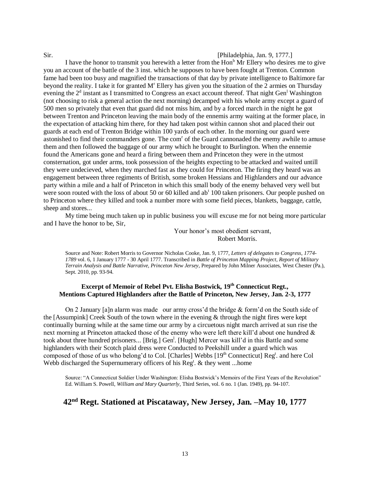#### Sir. [Philadelphia, Jan. 9, 1777.]

I have the honor to transmit you herewith a letter from the  $\text{Hon}^b$  Mr Ellery who desires me to give you an account of the battle of the 3 inst. which he supposes to have been fought at Trenton. Common fame had been too busy and magnified the transactions of that day by private intelligence to Baltimore far beyond the reality. I take it for granted M<sup>r</sup> Ellery has given you the situation of the 2 armies on Thursday evening the  $2<sup>d</sup>$  instant as I transmitted to Congress an exact account thereof. That night Gen<sup>1</sup> Washington (not choosing to risk a general action the next morning) decamped with his whole army except a guard of 500 men so privately that even that guard did not miss him, and by a forced march in the night he got between Trenton and Princeton leaving the main body of the ennemis army waiting at the former place, in the expectation of attacking him there, for they had taken post within cannon shot and placed their out guards at each end of Trenton Bridge within 100 yards of each other. In the morning our guard were astonished to find their commanders gone. The com<sup>r</sup> of the Guard cannonaded the enemy awhile to amuse them and then followed the baggage of our army which he brought to Burlington. When the ennemie found the Americans gone and heard a firing between them and Princeton they were in the utmost consternation, got under arms, took possession of the heights expecting to be attacked and waited untill they were undecieved, when they marched fast as they could for Princeton. The firing they heard was an engagement between three regiments of British, some broken Hessians and Highlanders and our advance party within a mile and a half of Princeton in which this small body of the enemy behaved very well but were soon routed with the loss of about 50 or 60 killed and  $ab<sup>t</sup> 100$  taken prisoners. Our people pushed on to Princeton where they killed and took a number more with some field pieces, blankets, baggage, cattle, sheep and stores...

My time being much taken up in public business you will excuse me for not being more particular and I have the honor to be, Sir,

> Your honor's most obedient servant, Robert Morris.

Source and Note: Robert Morris to Governor Nicholas Cooke, Jan. 9, 1777, *Letters of delegates to Congress*, *1774- 1789* vol. 6, 1 January 1777 - 30 April 1777. Transcribed in *Battle of Princeton Mapping Project, Report of Military Terrain Analysis and Battle Narrative, Princeton New Jersey*, Prepared by John Milner Associates, West Chester (Pa.), Sept. 2010, pp. 93-94.

#### **Excerpt of Memoir of Rebel Pvt. Elisha Bostwick, 19th Connecticut Regt., Mentions Captured Highlanders after the Battle of Princeton, New Jersey, Jan. 2-3, 1777**

On 2 January [a]n alarm was made our army cross'd the bridge & form'd on the South side of the [Assumpink] Creek South of the town where in the evening & through the night fires were kept continually burning while at the same time our army by a circuetous night march arrived at sun rise the next morning at Princeton attacked those of the enemy who were left there kill'd about one hundred & took about three hundred prisoners... [Brig.] Gen<sup>1</sup>. [Hugh] Mercer was kill'd in this Battle and some highlanders with their Scotch plaid dress were Conducted to Peekshill under a guard which was composed of those of us who belong'd to Col. [Charles] Webbs [19<sup>th</sup> Connecticut] Reg<sup>t</sup>. and here Col Webb discharged the Supernumerary officers of his Reg<sup>t</sup>. & they went ...home

Source: "A Connecticut Soldier Under Washington: Elisha Bostwick's Memoirs of the First Years of the Revolution" Ed. William S. Powell, *William and Mary Quarterly*, Third Series, vol. 6 no. 1 (Jan. 1949), pp. 94-107.

# **42nd Regt. Stationed at Piscataway, New Jersey, Jan. –May 10, 1777**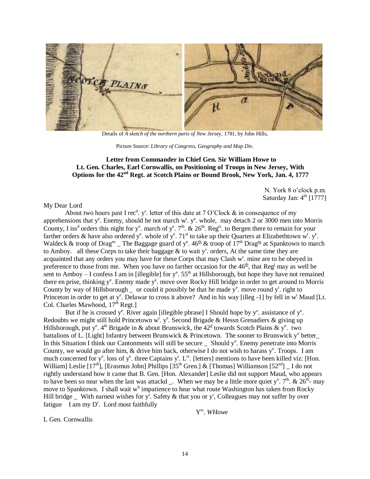

Details of *A sketch of the northern parts of New Jersey*, 1781, by John Hills,

Picture Source: *Library of Congress, Geography and Map Div.*

#### **Letter from Commander in Chief Gen. Sir William Howe to Lt. Gen. Charles, Earl Cornwallis, on Positioning of Troops in New Jersey, With Options for the 42nd Regt. at Scotch Plains or Bound Brook, New York, Jan. 4, 1777**

N. York 8 o'clock p.m. Saturday Jan:  $4<sup>th</sup>$  [1777]

My Dear Lord

About two hours past I rec<sup>d</sup>. y<sup>r</sup>. letter of this date at 7 O'Clock & in consequence of my apprehensions that  $y^e$ . Enemy, should he not march  $w^t$ .  $y^e$ . whole, may detach 2 or 3000 men into Morris County, I iss<sup>d</sup> orders this night for y<sup>e</sup>. march of y<sup>e</sup>. 7<sup>th</sup>. & 26<sup>th</sup>. Reg<sup>ts</sup>. to Bergen there to remain for your farther orders & have also ordered y<sup>e</sup>. whole of y<sup>e</sup>. 71<sup>st</sup> to take up their Quarters at Elizabethtown w<sup>t</sup>. y<sup>e</sup>. Waldeck & troop of Drag<sup>ns</sup> \_ The Baggage guard of y<sup>e</sup>.  $46<sup>th</sup>$  & troop of  $17<sup>th</sup>$  Drag<sup>ns</sup> at Spanktown to march to Amboy. all these Corps to take their baggage  $\&$  to wait y<sup>r</sup>. orders, At the same time they are acquainted that any orders you may have for these Corps that may Clash w<sup>t</sup>. mine are to be obeyed in preference to those from me. When you have no farther occasion for the  $46<sup>th</sup>$ , that Reg<sup>t</sup> may as well be sent to Amboy – I confess I am in [illegible] for  $y^e$ . 55<sup>th</sup> at Hillsborough, but hope they have not remained there en prise, thinking y<sup>e</sup>. Enemy made y<sup>e</sup>. move over Rocky Hill bridge in order to get around to Morris County by way of Hillsborough  $\equiv$  or could it possibly be that he made  $y^e$ . move round  $y^r$ . right to Princeton in order to get at y<sup>e</sup>. Delawar to cross it above? And in his way [illeg -1] by fell in w<sup>t</sup> Maud [Lt. Col. Charles Mawhood,  $17<sup>th</sup>$  Regt.]

But if he is crossed y<sup>e</sup>. River again [illegible phrase] I Should hope by y<sup>e</sup>. assistance of y<sup>e</sup>. Redoubts we might still hold Princetown w<sup>t</sup>. y<sup>e</sup>. Second Brigade & Hessn Grenadiers & giving up Hillsborough, put y<sup>e</sup>. 4<sup>th</sup> Brigade in & about Brunswick, the  $42<sup>d</sup>$  towards Scotch Plains & y<sup>e</sup>. two battalions of L. [Light] Infantry between Brunswick & Princetown. The sooner to Brunswick y<sup>e</sup> better\_ In this Situation I think our Cantonments will still be secure  $\angle$  Should y<sup>e</sup>. Enemy penetrate into Morris County, we would go after him,  $\&$  drive him back, otherwise I do not wish to harass  $y^e$ . Troops. I am much concerned for  $y^e$ . loss of  $y^e$ . three Captains  $y^r$ . L<sup>rs</sup>. [letters] mentions to have been killed viz: [Hon. William] Leslie  $[17^{th}]$ , [Erasmus John] Phillips  $[35^{th}$  Gren.] & [Thomas] Williamson  $[52^{nd}]$  \_ I do not rightly understand how it came that B. Gen. [Hon. Alexander] Leslie did not support Maud, who appears to have been so near when the last was attackd  $\overline{\ }$ . When we may be a little more quiet y<sup>e</sup>. 7<sup>th</sup>. & 26<sup>th</sup>- may move to Spanktown. I shall wait w<sup>h</sup> impatience to hear what route Washington has taken from Rocky Hill bridge  $\Box$  With earnest wishes for y<sup>r</sup>. Safety & that you or y<sup>r</sup>, Colleagues may not suffer by over fatigue I am my  $D^r$ . Lord most faithfully

Y rs . *WHowe*

L Gen. Cornwallis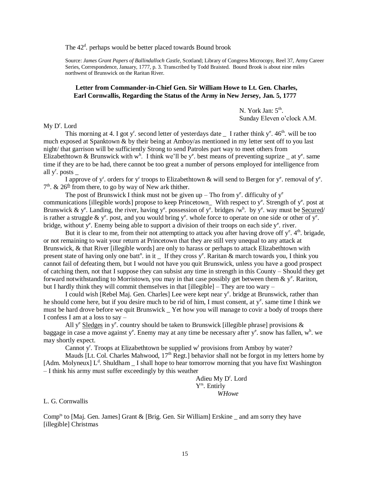The 42<sup>d</sup>. perhaps would be better placed towards Bound brook

Source: *James Grant Papers of Ballindalloch Castle*, Scotland; Library of Congress Microcopy, Reel 37, Army Career Series, Correspondence, January, 1777, p. 3. Transcribed by Todd Braisted. Bound Brook is about nine miles northwest of Brunswick on the Raritan River.

#### **Letter from Commander-in-Chief Gen. Sir William Howe to Lt. Gen. Charles, Earl Cornwallis, Regarding the Status of the Army in New Jersey, Jan. 5, 1777**

N. York Jan:  $5^{\text{th}}$ . Sunday Eleven o'clock A.M.

 $My D<sup>r</sup>$ . Lord

This morning at 4. I got y<sup>r</sup>. second letter of yesterdays date  $\Gamma$  I rather think y<sup>e</sup>. 46<sup>th</sup>. will be too much exposed at Spanktown & by their being at Amboy/as mentioned in my letter sent off to you last night/ that garrison will be sufficiently Strong to send Patroles part way to meet others from Elizabethtown & Brunswick with w<sup>h</sup>. I think we'll be y<sup>e</sup>, best means of preventing suprize  $\Delta$  at y<sup>e</sup>, same time if they are to be had, there cannot be too great a number of persons employed for intelligence from all  $y^r$ . posts  $\overline{\phantom{a}}$ 

I approve of y<sup>r</sup>. orders for y<sup>r</sup> troops to Elizabethtown & will send to Bergen for y<sup>e</sup>. removal of y<sup>e</sup>.  $7<sup>th</sup>$ . &  $26<sup>th</sup>$  from there, to go by way of New ark thither.

The post of Brunswick I think must not be given up – Tho from  $y^e$ . difficulty of  $y^e$ communications [illegible words] propose to keep Princetown\_ With respect to  $y^e$ . Strength of  $y^e$  post at Brunswick & y<sup>e</sup>. Landing, the river, having y<sup>e</sup>. possession of y<sup>e</sup>. bridges /w<sup>h</sup>. by y<sup>e</sup>. way must be <u>Secured</u>/ is rather a struggle &  $y^e$ . post, and you would bring  $y^e$ . whole force to operate on one side or other of  $y^e$ . bridge, without y<sup>e</sup>. Enemy being able to support a division of their troops on each side y<sup>e</sup>. river.

But it is clear to me, from their not attempting to attack you after having drove off  $y^e$ .  $4^h$ . brigade, or not remaining to wait your return at Princetown that they are still very unequal to any attack at Brunswick, & that River [illegible words] are only to harass or perhaps to attack Elizabethtown with present state of having only one batt<sup>n</sup>. in it  $\Gamma$  If they cross y<sup>e</sup>. Raritan & march towards you, I think you cannot fail of defeating them, but I would not have you quit Brunswick, unless you have a good prospect of catching them, not that I suppose they can subsist any time in strength in this County – Should they get forward notwithstanding to Morristown, you may in that case possibly get between them  $\&$  y<sup>e</sup>. Rariton, but I hardly think they will commit themselves in that [illegible] – They are too wary –

I could wish [Rebel Maj. Gen. Charles] Lee were kept near y<sup>e</sup>. bridge at Brunswick, rather than he should come here, but if you desire much to be rid of him, I must consent, at y<sup>e</sup>. same time I think we must be hard drove before we quit Brunswick \_ Yet how you will manage to covir a body of troops there I confess I am at a loss to say –

All y<sup>e</sup> Sledges in y<sup>e</sup>. country should be taken to Brunswick [illegible phrase] provisions & baggage in case a move against y<sup>e</sup>. Enemy may at any time be necessary after y<sup>e</sup>, snow has fallen, w<sup>h</sup>, we may shortly expect.

Cannot y<sup>r</sup>. Troops at Elizabethtown be supplied w<sup>t</sup> provisions from Amboy by water?

Mauds [Lt. Col. Charles Mahwood,  $17<sup>th</sup>$  Regt.] behavior shall not be forgot in my letters home by [Adm. Molyneux]  $L^d$ . Shuldham  $I$  shall hope to hear tomorrow morning that you have fixt Washington – I think his army must suffer exceedingly by this weather

> Adieu My D<sup>r</sup>. Lord Y<sup>rs</sup>. Entirly *WHowe*

#### L. G. Cornwallis

 $Comp<sup>ts</sup>$  to [Maj. Gen. James] Grant & [Brig. Gen. Sir William] Erskine and am sorry they have [illegible] Christmas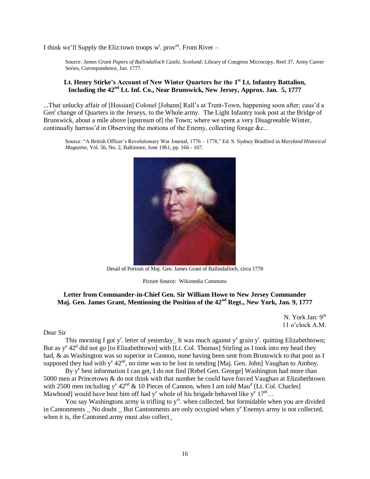I think we'll Supply the Eliz: town troops  $w^t$ . prov<sup>ns</sup>. From River –

Source: *James Grant Papers of Ballindalloch Castle, Scotland*; Library of Congress Microcopy, Reel 37, Army Career Series, Correspondence, Jan. 1777.

#### **Lt. Henry Stirke's Account of New Winter Quarters for the 1 st Lt. Infantry Battalion, Including the 42nd Lt. Inf. Co., Near Brunswick, New Jersey, Approx. Jan. 5, 1777**

...That unlucky affair of [Hessian] Colonel [Johann] Rall's at Trent-Town, happening soon after; caus'd a Gen<sup>1</sup> change of Quarters in the Jerseys, to the Whole army. The Light Infantry took post at the Bridge of Brunswick, about a mile above [upstream of] the Town; where we spent a very Disagreeable Winter, continually harrass'd in Observing the motions of the Enemy, collecting forage &c...

Source: "A British Officer's Revolutionary War Journal, 1776 – 1778," Ed. S. Sydney Bradford in *Maryland Historical Magazine*, Vol. 56, No. 2, Baltimore, June 1961, pp. 166 - 167.



Detail of Portrait of Maj. Gen. James Grant of Ballindalloch, circa 1770

Picture Source: Wikimedia Commons

#### **Letter from Commander-in-Chief Gen. Sir William Howe to New Jersey Commander Maj. Gen. James Grant, Mentioning the Position of the 42nd Regt., New York, Jan. 9, 1777**

N. York Jan: 9<sup>th</sup> 11 o'clock A.M.

#### Dear Sir

This morning I got y<sup>r</sup>. letter of yesterday\_It was much against y<sup>e</sup> grain y<sup>r</sup>. quitting Elizabethtown; But as  $y^e$  42<sup>d</sup> did not go [to Elizabethtown] with [Lt. Col. Thomas] Stirling as I took into my head they had, & as Washington was so superior in Cannon, none having been sent from Brunswick to that post as I supposed they had with  $y^e 42^{nd}$ , no time was to be lost in sending [Maj. Gen. John] Vaughan to Amboy.

By y<sup>e</sup> best information I can get, I do not find [Rebel Gen. George] Washington had more than 5000 men at Princetown & do not think with that number he could have forced Vaughan at Elizabethtown with 2500 men including  $y^e 42^{nd} \& 10$  Pieces of Cannon, when I am told Mau<sup>d</sup> [Lt. Col. Charles] Mawhood] would have beat him off had y<sup>e</sup> whole of his brigade behaved like y<sup>e</sup>  $17<sup>th</sup>...$ 

You say Washingtons army is trifling to y<sup>rs</sup>. when collected, but formidable when you are divided in Cantonments \_ No doubt \_ But Cantonments are only occupied when y<sup>e</sup> Enemys army is not collected, when it is, the Cantoned army must also collect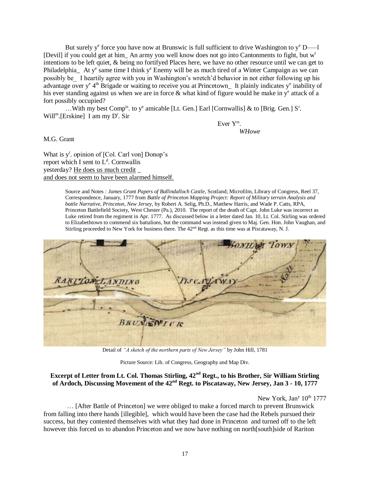But surely  $y^e$  force you have now at Brunswic is full sufficient to drive Washington to  $y^e$  D— $-1$ [Devil] if you could get at him An army you well know does not go into Cantonments to fight, but  $w^t$ intentions to be left quiet, & being no fortifyed Places here, we have no other resource until we can get to Philadelphia ht y<sup>e</sup> same time I think y<sup>e</sup> Enemy will be as much tired of a Winter Campaign as we can possibly be\_ I heartily agree with you in Washington's wretch'd behavior in not either following up his advantage over y<sup>e</sup> 4<sup>th</sup> Brigade or waiting to receive you at Princetown\_ It plainly indicates y<sup>e</sup> inability of his ever standing against us when we are in force  $\&$  what kind of figure would he make in  $y^e$  attack of a fort possibly occupied?

... With my best Comp<sup>ts</sup>. to y<sup>e</sup> amicable [Lt. Gen.] Earl [Cornwallis] & to [Brig. Gen.]  $S^r$ .  $Will<sup>m</sup>$ . [Erskine] I am my D<sup>r</sup>. Sir

Ever Y<sup>rs</sup>. *WHowe*

M.G. Grant

What is y<sup>r</sup>. opinion of [Col. Carl von] Donop's report which I sent to  $L<sup>d</sup>$ . Cornwallis yesterday? He does us much credit \_ and does not seem to have been alarmed himself.

> Source and Notes *: James Grant Papers of Ballindalloch Castle*, Scotland; Microfilm, Library of Congress, Reel 37, Correspondence, January, 1777 from *Battle of Princeton Mapping Project: Report of Military terrain Analysis and battle Narrative, Princeton, New Jersey,* by Robert A. Selig, Ph.D., Matthew Harris, and Wade P. Catts, RPA, Princeton Battlefield Society, West Chester (Pa.), 2010. The report of the death of Capt. John Luke was incorrect as Luke retired from the regiment in Apr. 1777. As discussed below in a letter dated Jan. 10, Lt. Col. Stirling was ordered to Elizabethtown to commend six battalions, but the command was instead given to Maj. Gen. Hon. John Vaughan, and Stirling proceeded to New York for business there. The 42nd Regt. as this time was at Piscataway, N. J.

|                 |             | BONHAM TOWN |  |
|-----------------|-------------|-------------|--|
|                 |             |             |  |
| RARITON LANDING | Tis cariawa |             |  |
|                 |             |             |  |
| BRUNGWICK       |             |             |  |
|                 |             |             |  |

Detail of *"A sketch of the northern parts of New Jersey"* by John Hill, 1781

Picture Source: Lib. of Congress, Geography and Map Div.

### **Excerpt of Letter from Lt. Col. Thomas Stirling, 42nd Regt., to his Brother, Sir William Stirling of Ardoch, Discussing Movement of the 42nd Regt. to Piscataway, New Jersey, Jan 3 - 10, 1777**

New York, Jan<sup>y</sup> 10<sup>th</sup> 1777

… [After Battle of Princeton] we were obliged to make a forced march to prevent Brunswick from falling into there hands [illegible], which would have been the case had the Rebels pursued their success, but they contented themselves with what they had done in Princeton and turned off to the left however this forced us to abandon Princeton and we now have nothing on north[south]side of Rariton